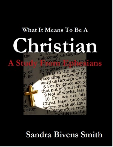### What It Means To Be A

## Christian quickened us togethe the

a saved:

ethrajad us le sit together in heavenly 7 That in the ages to exceeding riches of his  $v$  of me ward us through Chris 8 For by grace are yo that not of yourselves 9 Not of works, lest 10 For we are his Christ Jesus unto go before ordained that Il Wherefore reme atter Contiles in the

# Sandra Bivens Smith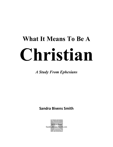# **What It Means To Be A Christian**

*A Study From Ephesians*

**Sandra Bivens Smith**

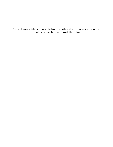This study is dedicated to my amazing husband Avon without whose encouragement and support this work would never have been finished. Thanks honey.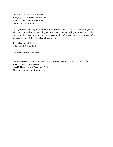What It Means To Be A Christian Copyright©2014 Sandra Bivens Smith Published by Sandra Bivens Smith ISBN:5-800108-956101

All rights reserved. No part of this book may be used or reproduced by any means, graphic, electronic, or mechanical, including photocopying, recording, taping or by any information storage retrieval system without the written permission of the author except in the case of brief quotations embodied in critical articles or reviews.

Second edition 2018 ISBN:978-1-387-97106-0

www.SandraBivensSmith.com

Scripture quotations are from the  $ESV^{\circledast}$  Bible (The Holy Bible, English Standard Version<sup>®</sup>) Copyright © 2001 by Crossway A publishing ministry of Good News Publishers. Used by permission. All rights reserved.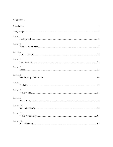### **Contents**

| Lesson 1  |  |
|-----------|--|
| Lesson 2  |  |
| Lesson 3  |  |
| Lesson 4  |  |
| Lesson 5  |  |
| Lesson 6  |  |
| Lesson 7  |  |
| Lesson 8  |  |
| Lesson 9  |  |
| Lesson 10 |  |
| Lesson 11 |  |
| Lesson 12 |  |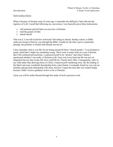### <span id="page-6-0"></span>**Introduction**

When I became a Christian some 24 years ago, I remember the difficulty I had with just the logistics of it all. I recall that following my conversion, I was basically given three instructions:

- call someone and tell them you are now a Christian
- read the gospel of John
- attend church

That was it. I can still recall how awkward I felt sitting in church, Sunday school, or Bible study just trying to find my way through the Bible. Usually by the time I got to a particular passage, the preacher or teacher had already moved on!

I also remember what it was like for me being around all those "church people." I was hesitant to speak, afraid that I might say something wrong. There were so many times as a new Christian that I felt confused and uncertain. I expected myself to be "perfect" and when I failed, I questioned whether I was really a Christian at all. Jesus was in my heart but He was not yet integrated into my day-to-day life; how could He be, I barely knew Him. Consequently, early in my walk rather than drawing closer to Christ, I found myself wandering away. By the leading of the Spirit and some wonderful discipleship from a dear friend, I eventually found my way into an intimate and personal relationship with Jesus, but how I regret the time that was wasted simply because I didn't receive guidance in how to be a Christian.

I pray you will be richly blessed through this study of God's precious word.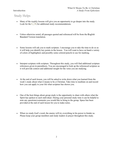### <span id="page-7-0"></span>Study Helps

- Many of the weekly lessons will give you an opportunity to go deeper into the study. Look for the  $\sim$  for additional study recommendations.
- Unless otherwise noted, all passages quoted and referenced will be from the **E**nglish **S**tandard Version translation.
- Some lessons will ask you to mark scripture. I encourage you to take the time to do so as it will help you identify key points in the lesson. You will want to have on hand a variety of colors of highlighters and possibly some colored pencils to use for marking.
- Interpret scripture with scripture. Throughout this study, you will find additional scripture references given in parenthesis. You are encouraged to look up the referenced scripture as it will provide context and additional insight for the verse you are studying.
- At the end of each lesson, you will be asked to write down what you learned from the week's study about what it means to be a Christian. Take time to meditate on and record how you can apply to your life what scripture has shown you.
- One of the best things about group study is the opportunity to share with others what the Spirit has spoken to each individual. During your personal study time it can be helpful to note any questions/comments you would like to bring to the group. Space has been provided at the end of each lesson for you to make notes.
- When we study God's word, the enemy will try everything in his power to hinder us. Please keep your group members and study leaders in prayer throughout this study.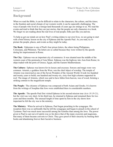### <span id="page-8-0"></span>**Background**

When we read the Bible, it can be difficult to relate to the characters, the culture, and the times; in the freedom and social climate of our western world, it can be especially challenging. The ways of people who lived in a foreign land thousands of years ago are strange to us. We read the events and tend to think that they are just stories, that the people are only characters in a book. We forget we are reading about the real lives of real people; folks just like you and me.

To help us get our minds set on how Paul's writing relates to our own lives, we are going to start with a brief history lesson on the city of Ephesus and the Apostle Paul. As you read, try to picture the people, places, and events as they might be today.

**The Book:** Ephesians is one of Paul's four prison letters, the others being Philippians, Colossians, and Philemon. The letters are so called because they were written by the apostle during his imprisonment in Rome.

**The City:** Ephesus was an important city of commerce. It was situated near the middle of the western coast of the peninsula of Asia Minor. Ephesus was the highway into Asia from Rome; its ships traded with the ports of Greece, Egypt, and the Eastern Mediterranean.

**The Culture:** Ephesus was known for its luxury and excesses. Sorcery and magic were very common. Artemis, a goddess from the West, was the chief object of worship. The temple of Artemis was renowned as one of the Seven Wonders of the Ancient World. It took two hundred and twenty years to build; one hundred and twenty-six, sixty-foot high columns supported its roof. The image of Artemis, which was said to have fallen from heaven, was of wood, forming a striking contrast to the magnificent temple.

**The People:** The citizenry of Ephesus was composed of both Asians and Greeks. It is known from the writings of Josephus that Jews were established there in considerable numbers.

**The Apostle:** The apostle Paul first visited Ephesus in his second mission tour *(Acts 18:19-21)*, but the visit was very short. In his third tour, he returned to Ephesus and remained there for two years and three months. The unusual length of time spent by him in the city shows how important he felt the city was to the ministry.

**The Ministry**: When he arrived in Ephesus, Paul began preaching in the synagogue. His reception there was so unfriendly that he left the synagogue and began to preach in the school of Tyrannus. Paul was much more successful among the Gentiles than among the Jews. The power given to Paul to cast out evil spirits was so far above that of the many exorcists and magicians, that many of them became converts to Christ. They gave proof of their sincerity by burning their books and abandoning forever their lucrative business.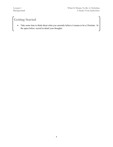### **Getting Started**

• Take some time to think about what you currently believe it means to be a Christian. In the space below, record in detail your thoughts.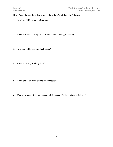### **Read Acts Chapter 19 to learn more about Paul's ministry in Ephesus.**

- 1. How long did Paul stay in Ephesus?
- 2. When Paul arrived in Ephesus, from where did he begin teaching?
- 3. How long did he teach in this location?
- 4. Why did he stop teaching there?

- 5. Where did he go after leaving the synagogue?
- 6. What were some of the major accomplishments of Paul's ministry in Ephesus?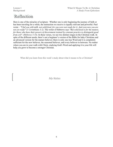### Reflection

Here is one of the miracles of scripture: Whether one is only beginning the journey of faith or has been traveling for a while, the instruction we receive is equally relevant and powerful. Paul wrote – *"I fed you with milk, not solid food, for you were not ready for it. And even now you are not yet ready" (1 Corinthians 3:2)*. The writer of Hebrews says *"But solid food is for the mature, for those who have their powers of discernment trained by constant practice to distinguish good from evil". (Hebrews 5:14)*. In these verses, we see two distinct stages in the Christian walk. In spite of the different needs, there's not a beginner's version of the Bible for baby Christians and an advanced version for the mature believer; there is only one true Word and it is completely sufficient for the new believer, the seasoned believer, and every believer in between. No matter where you are in your walk with Christ, studying God's Word and applying it to your life will help you grow to become a stronger Christian.

What did you learn from this week's study about what it means to be a Christian?

*My Notes*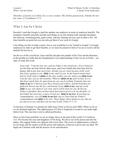*Therefore, if anyone is in Christ, he is a new creation. The old has passed away; behold, the new has come. (2 Corinthians 5:17)*

### <span id="page-12-0"></span>**Who I Am In Christ**

Recently I read that Google is rated the number one employer in terms of employee benefits. The company's benefits and perks include such things as on-site medical staff, massage therapists, free haircuts, swimming pools, game rooms, and dry cleaning services, just to name a few. All these benefits are great but you can only get them if you work for Google.

I am telling you this to make a point. Just as you would have to be "joined to Google" (a Google employee) in order to get their benefits, so we must be joined to Christ if we are to receive all the benefits He has for us.

On the eve of His crucifixion, Jesus told His disciples the parable of the Vine and the Branches. In the parable are truths that are foundational to our understanding of who we are in Christ – our topic of study this week.

*Jesus said: "I am the true vine, and my Father is the vinedresser. Every branch in me that* does not bear fruit he takes away, and every branch that does bear fruit he prunes, that it *may bear more fruit. Already you are clean because of the word that I have spoken to you. Abide in me, and I in you. As the branch cannot bear fruit by itself, unless it abides in the vine, neither can you, unless you abide in me. I am the vine; you are the branches. Whoever abides in me and I in him, he it is that bears much fruit, for apart from me you can do nothing. If anyone does not abide in me he is thrown away like a branch and withers; and the branches are gathered, thrown into the fire, and burned. If you abide in me, and my words abide in you, ask whatever you wish, and it will be done for you. By this my Father is glorified, that you bear much fruit and so prove to be my disciples. As the Father has loved me, so have I loved you. Abide in my love. If you keep my commandments, you will abide in my love, just as I have kept my Father's commandments and abide in his love. These things I have spoken to you, that my joy may be in you, and that your joy may be full. (John 15:1-11)*

To become a Christian is to profess by faith Jesus Christ as Savior and LORD. When we do so, we are declared righteous. The righteousness of Christ is imparted to us and we are made right before God. This one-time event is called justification.

Once we have been justified, we are no longer slaves to the god of this world *(2 Corinthians 4:4)*. We become the sons and daughters of The King. We move out of the prison and into the palace. Our ragged clothes are replaced with royal robes. The crown of righteousness is placed on our head, and the scepter of all the power and authority of heaven is given into our hand. We begin our Christian walk and the process of our sanctification.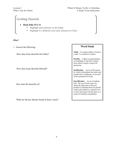### **Getting Started**

- **Read John 15:1-11**
	- Highlight each reference to the Father
	- Highlight in a different color each reference to Christ

#### *Who?*

1. Answer the following:

How does Jesus describe the Father?

How does Jesus describe Himself?

How does He describe us?

What are the key themes found in these verses?

### **Word Study**

**Abide:** To remain stable or fixed in a state. To continue in a place.

**Parable:** A fable or representation of something in real life or nature, from which a moral is drawn for instruction.

**Justification**: An act of free grace by which God pardons the sinner and accepts him as righteous, on account of the atonement of Christ.

**Sanctification**: An act of making holy. The act of God's grace by which the affections of men are purified or alienated from sin and the world, and exalted to a supreme love to God. Growing in divine grace as a result of Christian commitment.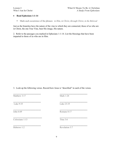#### • **Read Ephesians 1:1-14**

■ Mark each occurrence of the phrases: *in Him*, *in Christ*, *through Christ*, *in the Beloved* 

Just as the branches have the nature of the vine to which they are connected, those of us who are in Christ, the one True Vine, bear His image, His nature.

2. Refer to the passages you marked in Ephesians 1:1-14. List the blessings that have been imparted to those of us who are in Him.

3. Look up the following verses. Record how Jesus is "described" in each of the verses.

| Matthew 3:17<br><b>Mark 1:24</b> |  |
|----------------------------------|--|
|                                  |  |
| Luke 9:35<br>Luke 23:35          |  |
| John 6:69<br>Romans 8:17         |  |
| Colossians 1:13<br>Titus 3:6     |  |
| Hebrews 1:2<br>Revelation 3:7    |  |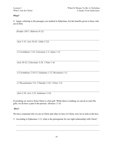### *What?*

4. Again, referring to the passages you marked in Ephesians, list the benefits given to those who are in Him.

*(Psalms 130:7; Hebrews 9:12)*

 $\mathcal{L}_\mathcal{L} = \mathcal{L}_\mathcal{L} = \mathcal{L}_\mathcal{L} = \mathcal{L}_\mathcal{L} = \mathcal{L}_\mathcal{L} = \mathcal{L}_\mathcal{L} = \mathcal{L}_\mathcal{L} = \mathcal{L}_\mathcal{L} = \mathcal{L}_\mathcal{L} = \mathcal{L}_\mathcal{L} = \mathcal{L}_\mathcal{L} = \mathcal{L}_\mathcal{L} = \mathcal{L}_\mathcal{L} = \mathcal{L}_\mathcal{L} = \mathcal{L}_\mathcal{L} = \mathcal{L}_\mathcal{L} = \mathcal{L}_\mathcal{L}$ *(Acts 5:31; Acts 10:43; 1John 2:12)*

*(1 Corinthians 1:24; Colossians 2:3; James 1:5)*

*(Acts 20:32; Colossians 3:24; 1 Peter 1:4)*

*(1 Corinthians 2:10-12; Galatians 1:12; Revelation 1:1)*

*(1 Thessalonians 5:9; 2 Timothy 2:10; 1 Peter 1:5)*

*(Joel 2:28; Acts 2:33; Galatians 3:14)* 

Everything we receive from Christ is a free gift. While there is nothing we can do to earn His gifts, we do have a part in the process. *(Romans 11:6)*

### *How?*

We have examined who we are in Christ and what we have in Christ; now let us look at the how.

5. According to Ephesians 1:13, what is the prerequisite for our right relationship with Christ?

 $\mathcal{L}_\mathcal{L} = \mathcal{L}_\mathcal{L} = \mathcal{L}_\mathcal{L} = \mathcal{L}_\mathcal{L} = \mathcal{L}_\mathcal{L} = \mathcal{L}_\mathcal{L} = \mathcal{L}_\mathcal{L} = \mathcal{L}_\mathcal{L} = \mathcal{L}_\mathcal{L} = \mathcal{L}_\mathcal{L} = \mathcal{L}_\mathcal{L} = \mathcal{L}_\mathcal{L} = \mathcal{L}_\mathcal{L} = \mathcal{L}_\mathcal{L} = \mathcal{L}_\mathcal{L} = \mathcal{L}_\mathcal{L} = \mathcal{L}_\mathcal{L}$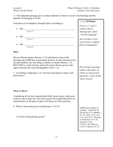6. Our Ephesians passages give us three methods by which we receive the blessings and the benefits of belonging to Christ.

God chose us for adoption, through Christ, according to:

 $\bullet$  His  $\_$ Verse 5

Verse 7

• His  $\blacksquare$ 

• His  $\blacksquare$ Verse 9

### *Why?*

We are all born sinners *(Romans 3:23)* and deserve none of the blessings the LORD has so graciously given us. In fact, because of our sin and rebellion, the only thing we deserve is death *(Romans 7:5)*. BUT GOD is a God of mercy and in His mercy He has given us the right to become His sons and daughters *(John 1:12)*.

7. According to Ephesians 1:14, why has God chosen to show such great mercy?

### *There Is More?*

Considering all we have learned about God's great mercy, what more could we ask or hope for? Our God is good; He extends Himself to us beyond mercy to the point of grace. He leaves us with a promise.

8. What is the promise given in Ephesians 1:13-14?

To whom is this promise given?

|  | $\le$ G0 Deeper |  |
|--|-----------------|--|
|  |                 |  |

*Verses 4, 5, and 11 contain what is theologically called "election language."* 

*How do these verses reveal God's complete plan of redemption?*

*How do these passages relate to the nature of Christ we discussed in questions 1 and 4 of this week's lesson?*

*(Additional scripture to consider: Isaiah 46:10; Zechariah 6:13; Matthew 25, 34; John 17:24; Acts 2:23; Acts 20:27; Romans 8:29 Romans 9:11-16; Galatians 3:26; 1 Peter 1:20; Hebrews 2:10-15; Hebrews 6:17)*